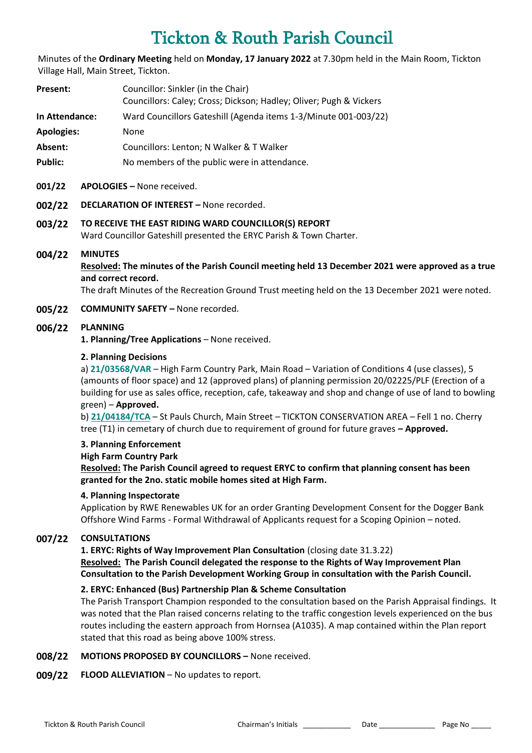# Tickton & Routh Parish Council

Minutes of the **Ordinary Meeting** held on **Monday, 17 January 2022** at 7.30pm held in the Main Room, Tickton Village Hall, Main Street, Tickton.

| Present:          | Councillor: Sinkler (in the Chair)                                 |
|-------------------|--------------------------------------------------------------------|
|                   | Councillors: Caley; Cross; Dickson; Hadley; Oliver; Pugh & Vickers |
| In Attendance:    | Ward Councillors Gateshill (Agenda items 1-3/Minute 001-003/22)    |
| <b>Apologies:</b> | None                                                               |
| Absent:           | Councillors: Lenton; N Walker & T Walker                           |
|                   |                                                                    |

Public: No members of the public were in attendance.

#### **001/22 APOLOGIES –** None received.

**002/22 DECLARATION OF INTEREST –** None recorded.

## **003/22 TO RECEIVE THE EAST RIDING WARD COUNCILLOR(S) REPORT** Ward Councillor Gateshill presented the ERYC Parish & Town Charter.

#### **004/22 MINUTES**

**Resolved: The minutes of the Parish Council meeting held 13 December 2021 were approved as a true and correct record.**

The draft Minutes of the Recreation Ground Trust meeting held on the 13 December 2021 were noted.

#### **005/22 COMMUNITY SAFETY –** None recorded.

#### **006/22 PLANNING**

**1. Planning/Tree Applications** – None received.

#### **2. Planning Decisions**

a) **[21/03568/VAR](https://newplanningaccess.eastriding.gov.uk/newplanningaccess/PLAN/21/03568/VAR)** – High Farm Country Park, Main Road – Variation of Conditions 4 (use classes), 5 (amounts of floor space) and 12 (approved plans) of planning permission 20/02225/PLF (Erection of a building for use as sales office, reception, cafe, takeaway and shop and change of use of land to bowling green) – **Approved.**

b) **[21/04184/TCA](https://newplanningaccess.eastriding.gov.uk/newplanningaccess/PLAN/21/04184/TCA)** – St Pauls Church, Main Street – TICKTON CONSERVATION AREA – Fell 1 no. Cherry tree (T1) in cemetary of church due to requirement of ground for future graves **– Approved.**

### **3. Planning Enforcement**

#### **High Farm Country Park**

**Resolved: The Parish Council agreed to request ERYC to confirm that planning consent has been granted for the 2no. static mobile homes sited at High Farm.** 

#### **4. Planning Inspectorate**

Application by RWE Renewables UK for an order Granting Development Consent for the Dogger Bank Offshore Wind Farms - Formal Withdrawal of Applicants request for a Scoping Opinion – noted.

### **007/22 CONSULTATIONS**

**1. ERYC: Rights of Way Improvement Plan Consultation** (closing date 31.3.22) **Resolved: The Parish Council delegated the response to the Rights of Way Improvement Plan Consultation to the Parish Development Working Group in consultation with the Parish Council.**

### **2. ERYC: Enhanced (Bus) Partnership Plan & Scheme Consultation**

The Parish Transport Champion responded to the consultation based on the Parish Appraisal findings. It was noted that the Plan raised concerns relating to the traffic congestion levels experienced on the bus routes including the eastern approach from Hornsea (A1035). A map contained within the Plan report stated that this road as being above 100% stress.

#### **008/22 MOTIONS PROPOSED BY COUNCILLORS –** None received.

#### **009/22 FLOOD ALLEVIATION** – No updates to report.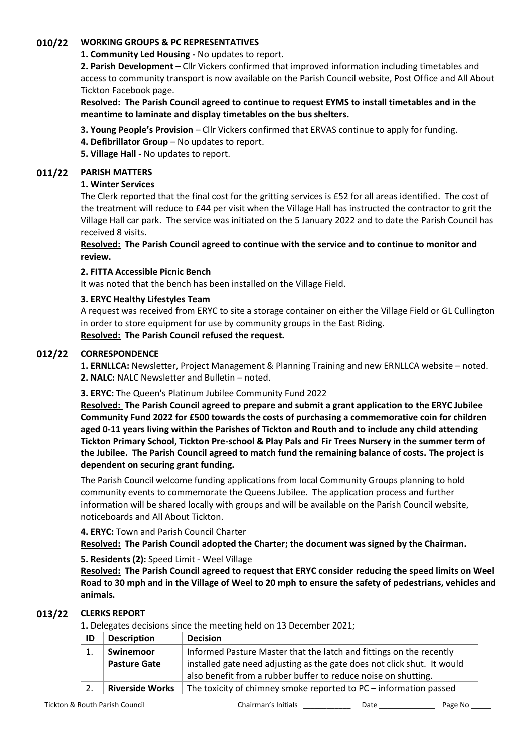# **010/22 WORKING GROUPS & PC REPRESENTATIVES**

# **1. Community Led Housing -** No updates to report.

**2. Parish Development –** Cllr Vickers confirmed that improved information including timetables and access to community transport is now available on the Parish Council website, Post Office and All About Tickton Facebook page.

# **Resolved: The Parish Council agreed to continue to request EYMS to install timetables and in the meantime to laminate and display timetables on the bus shelters.**

- **3. Young People's Provision** Cllr Vickers confirmed that ERVAS continue to apply for funding.
- **4. Defibrillator Group**  No updates to report.
- **5. Village Hall -** No updates to report.

# **011/22 PARISH MATTERS**

## **1. Winter Services**

The Clerk reported that the final cost for the gritting services is £52 for all areas identified. The cost of the treatment will reduce to £44 per visit when the Village Hall has instructed the contractor to grit the Village Hall car park. The service was initiated on the 5 January 2022 and to date the Parish Council has received 8 visits.

# **Resolved: The Parish Council agreed to continue with the service and to continue to monitor and review.**

# **2. FITTA Accessible Picnic Bench**

It was noted that the bench has been installed on the Village Field.

# **3. ERYC Healthy Lifestyles Team**

A request was received from ERYC to site a storage container on either the Village Field or GL Cullington in order to store equipment for use by community groups in the East Riding. **Resolved: The Parish Council refused the request.**

# **012/22 CORRESPONDENCE**

**1. ERNLLCA:** Newsletter, Project Management & Planning Training and new ERNLLCA website – noted. **2. NALC:** NALC Newsletter and Bulletin – noted.

### **3. ERYC:** The Queen's Platinum Jubilee Community Fund 2022

**Resolved: The Parish Council agreed to prepare and submit a grant application to the ERYC Jubilee Community Fund 2022 for £500 towards the costs of purchasing a commemorative coin for children aged 0-11 years living within the Parishes of Tickton and Routh and to include any child attending Tickton Primary School, Tickton Pre-school & Play Pals and Fir Trees Nursery in the summer term of the Jubilee. The Parish Council agreed to match fund the remaining balance of costs. The project is dependent on securing grant funding.**

The Parish Council welcome funding applications from local Community Groups planning to hold community events to commemorate the Queens Jubilee. The application process and further information will be shared locally with groups and will be available on the Parish Council website, noticeboards and All About Tickton.

### **4. ERYC:** Town and Parish Council Charter

**Resolved: The Parish Council adopted the Charter; the document was signed by the Chairman.**

# **5. Residents (2):** Speed Limit - Weel Village

**Resolved: The Parish Council agreed to request that ERYC consider reducing the speed limits on Weel Road to 30 mph and in the Village of Weel to 20 mph to ensure the safety of pedestrians, vehicles and animals.**

# **013/22 CLERKS REPORT**

**1.** Delegates decisions since the meeting held on 13 December 2021;

| ID | <b>Description</b>     | <b>Decision</b>                                                         |  |  |  |
|----|------------------------|-------------------------------------------------------------------------|--|--|--|
|    | Swinemoor              | Informed Pasture Master that the latch and fittings on the recently     |  |  |  |
|    | <b>Pasture Gate</b>    | installed gate need adjusting as the gate does not click shut. It would |  |  |  |
|    |                        | also benefit from a rubber buffer to reduce noise on shutting.          |  |  |  |
|    | <b>Riverside Works</b> | The toxicity of chimney smoke reported to PC – information passed       |  |  |  |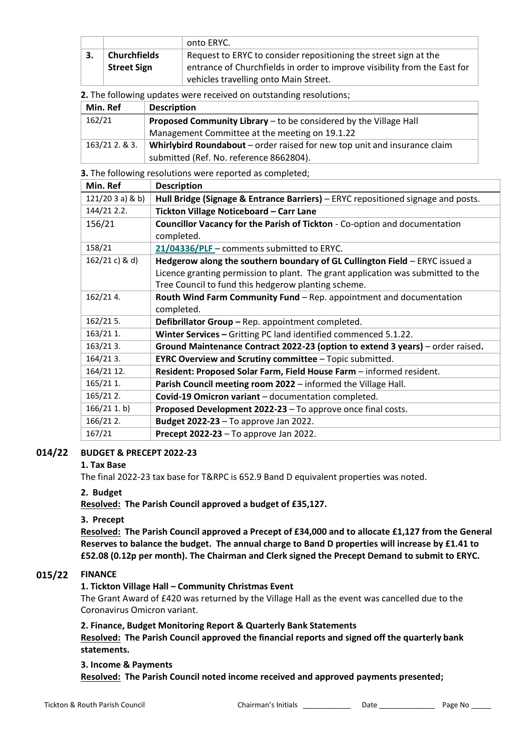|                     |                    | onto ERYC.                                                                |
|---------------------|--------------------|---------------------------------------------------------------------------|
| <b>Churchfields</b> |                    | Request to ERYC to consider repositioning the street sign at the          |
|                     | <b>Street Sign</b> | entrance of Churchfields in order to improve visibility from the East for |
|                     |                    | vehicles travelling onto Main Street.                                     |

**2.** The following updates were received on outstanding resolutions;

| Min. Ref    | <b>Description</b>                                                        |
|-------------|---------------------------------------------------------------------------|
| 162/21      | Proposed Community Library – to be considered by the Village Hall         |
|             | Management Committee at the meeting on 19.1.22                            |
| 163/212.83. | Whirlybird Roundabout – order raised for new top unit and insurance claim |
|             | submitted (Ref. No. reference 8662804).                                   |

**3.** The following resolutions were reported as completed;

| Min. Ref        | <b>Description</b>                                                               |
|-----------------|----------------------------------------------------------------------------------|
| 121/203a) & b)  | Hull Bridge (Signage & Entrance Barriers) - ERYC repositioned signage and posts. |
| 144/21 2.2.     | Tickton Village Noticeboard - Carr Lane                                          |
| 156/21          | Councillor Vacancy for the Parish of Tickton - Co-option and documentation       |
|                 | completed.                                                                       |
| 158/21          | 21/04336/PLF - comments submitted to ERYC.                                       |
| $162/21 c$ & d) | Hedgerow along the southern boundary of GL Cullington Field - ERYC issued a      |
|                 | Licence granting permission to plant. The grant application was submitted to the |
|                 | Tree Council to fund this hedgerow planting scheme.                              |
| 162/214.        | Routh Wind Farm Community Fund - Rep. appointment and documentation              |
|                 | completed.                                                                       |
| $162/215$ .     | Defibrillator Group - Rep. appointment completed.                                |
| 163/21 1.       | Winter Services - Gritting PC land identified commenced 5.1.22.                  |
| $163/213$ .     | Ground Maintenance Contract 2022-23 (option to extend 3 years) – order raised.   |
| $164/213$ .     | <b>EYRC Overview and Scrutiny committee - Topic submitted.</b>                   |
| 164/21 12.      | Resident: Proposed Solar Farm, Field House Farm - informed resident.             |
| 165/21 1.       | Parish Council meeting room 2022 - informed the Village Hall.                    |
| 165/21 2.       | Covid-19 Omicron variant - documentation completed.                              |
| $166/211$ . b)  | Proposed Development 2022-23 - To approve once final costs.                      |
| 166/21 2.       | <b>Budget 2022-23 - To approve Jan 2022.</b>                                     |
| 167/21          | Precept 2022-23 - To approve Jan 2022.                                           |

#### **014/22 BUDGET & PRECEPT 2022-23**

### **1. Tax Base**

The final 2022-23 tax base for T&RPC is 652.9 Band D equivalent properties was noted.

### **2. Budget**

**Resolved: The Parish Council approved a budget of £35,127.**

### **3. Precept**

**Resolved: The Parish Council approved a Precept of £34,000 and to allocate £1,127 from the General Reserves to balance the budget. The annual charge to Band D properties will increase by £1.41 to £52.08 (0.12p per month). The Chairman and Clerk signed the Precept Demand to submit to ERYC.**

### **015/22 FINANCE**

### **1. Tickton Village Hall – Community Christmas Event**

The Grant Award of £420 was returned by the Village Hall as the event was cancelled due to the Coronavirus Omicron variant.

#### **2. Finance, Budget Monitoring Report & Quarterly Bank Statements**

**Resolved: The Parish Council approved the financial reports and signed off the quarterly bank statements.**

#### **3. Income & Payments**

**Resolved: The Parish Council noted income received and approved payments presented;**